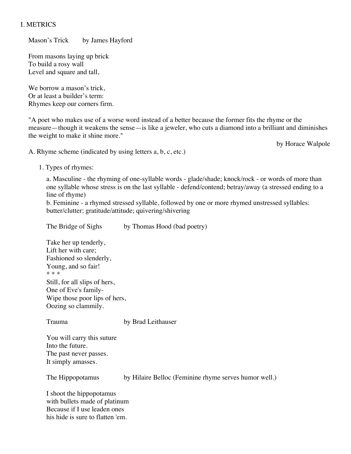## I. METRICS

Mason's Trick by James Hayford

From masons laying up brick To build a rosy wall Level and square and tall,

We borrow a mason's trick, Or at least a builder's term: Rhymes keep our corners firm.

"A poet who makes use of a worse word instead of a better because the former fits the rhyme or the measure—though it weakens the sense—is like a jeweler, who cuts a diamond into a brilliant and diminishes the weight to make it shine more."

by Horace Walpole

A. Rhyme scheme (indicated by using letters a, b, c, etc.)

1. Types of rhymes:

a. Masculine - the rhyming of one-syllable words - glade/shade; knock/rock - or words of more than one syllable whose stress is on the last syllable - defend/contend; betray/away (a stressed ending to a line of rhyme)

b. Feminine - a rhymed stressed syllable, followed by one or more rhymed unstressed syllables: butter/clutter; gratitude/attitude; quivering/shivering

The Bridge of Sighs by Thomas Hood (bad poetry) Take her up tenderly, Lift her with care; Fashioned so slenderly, Young, and so fair! \* \* \* Still, for all slips of hers, One of Eve's family-Wipe those poor lips of hers, Oozing so clammily.

Trauma by Brad Leithauser

You will carry this suture Into the future. The past never passes. It simply amasses.

The Hippopotamus by Hilaire Belloc (Feminine rhyme serves humor well.)

I shoot the hippopotamus with bullets made of platinum Because if I use leaden ones his hide is sure to flatten 'em.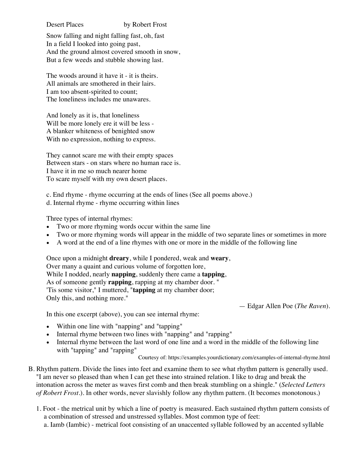Desert Places by Robert Frost

Snow falling and night falling fast, oh, fast In a field I looked into going past, And the ground almost covered smooth in snow, But a few weeds and stubble showing last.

The woods around it have it - it is theirs. All animals are smothered in their lairs. I am too absent-spirited to count; The loneliness includes me unawares.

And lonely as it is, that loneliness Will be more lonely ere it will be less - A blanker whiteness of benighted snow With no expression, nothing to express.

They cannot scare me with their empty spaces Between stars - on stars where no human race is. I have it in me so much nearer home To scare myself with my own desert places.

c. End rhyme - rhyme occurring at the ends of lines (See all poems above.)

d. Internal rhyme - rhyme occurring within lines

Three types of internal rhymes:

- Two or more rhyming words occur within the same line
- Two or more rhyming words will appear in the middle of two separate lines or sometimes in more
- A word at the end of a line rhymes with one or more in the middle of the following line

Once upon a midnight **dreary**, while I pondered, weak and **weary**, Over many a quaint and curious volume of forgotten lore, While I nodded, nearly **napping**, suddenly there came a **tapping**, As of someone gently **rapping**, rapping at my chamber door. " 'Tis some visitor," I muttered, "**tapping** at my chamber door; Only this, and nothing more."

— Edgar Allen Poe (*The Raven*).

In this one excerpt (above), you can see internal rhyme:

- Within one line with "napping" and "tapping"
- Internal rhyme between two lines with "napping" and "rapping"
- Internal rhyme between the last word of one line and a word in the middle of the following line with "tapping" and "rapping"

Courtesy of: https://examples.yourdictionary.com/examples-of-internal-rhyme.html

- B. Rhythm pattern. Divide the lines into feet and examine them to see what rhythm pattern is generally used. "I am never so pleased than when I can get these into strained relation. I like to drag and break the intonation across the meter as waves first comb and then break stumbling on a shingle." (*Selected Letters of Robert Frost*.). In other words, never slavishly follow any rhythm pattern. (It becomes monotonous.)
	- 1. Foot the metrical unit by which a line of poetry is measured. Each sustained rhythm pattern consists of a combination of stressed and unstressed syllables. Most common type of feet:

a. Iamb (Iambic) - metrical foot consisting of an unaccented syllable followed by an accented syllable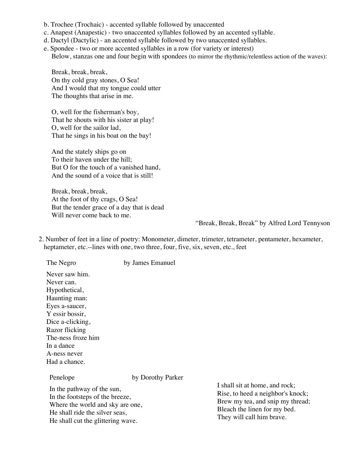- b. Trochee (Trochaic) accented syllable followed by unaccented
- c. Anapest (Anapestic) two unaccented syllables followed by an accented syllable.
- d. Dactyl (Dactylic) an accented syllable followed by two unaccented syllables.
- e. Spondee two or more accented syllables in a row (for variety or interest) Below, stanzas one and four begin with spondees (to mirror the rhythmic/relentless action of the waves):

Break, break, break, On thy cold gray stones, O Sea! And I would that my tongue could utter The thoughts that arise in me.

O, well for the fisherman's boy, That he shouts with his sister at play! O, well for the sailor lad, That he sings in his boat on the bay!

And the stately ships go on To their haven under the hill; But O for the touch of a vanished hand, And the sound of a voice that is still!

Break, break, break, At the foot of thy crags, O Sea! But the tender grace of a day that is dead Will never come back to me.

#### "Break, Break, Break" by Alfred Lord Tennyson

2. Number of feet in a line of poetry: Monometer, dimeter, trimeter, tetrameter, pentameter, hexameter, heptameter, etc.--lines with one, two three, four, five, six, seven, etc., feet

The Negro by James Emanuel Never saw him. Never can. Hypothetical, Haunting man: Eyes a-saucer, Y essir bossir, Dice a-clicking, Razor flicking The-ness froze him In a dance A-ness never Had a chance. Penelope by Dorothy Parker

In the pathway of the sun, In the footsteps of the breeze, Where the world and sky are one, He shall ride the silver seas, He shall cut the glittering wave.

I shall sit at home, and rock; Rise, to heed a neighbor's knock; Brew my tea, and snip my thread; Bleach the linen for my bed. They will call him brave.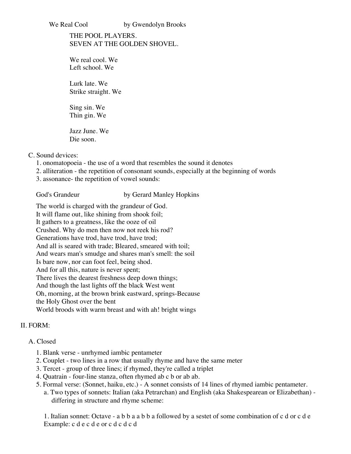#### We Real Cool by Gwendolyn Brooks

# THE POOL PLAYERS. SEVEN AT THE GOLDEN SHOVEL.

We real cool. We Left school. We

Lurk late. We Strike straight. We

Sing sin. We Thin gin. We

Jazz June. We Die soon.

C. Sound devices:

- 1. onomatopoeia the use of a word that resembles the sound it denotes
- 2. alliteration the repetition of consonant sounds, especially at the beginning of words
- 3. assonance- the repetition of vowel sounds:

God's Grandeur by Gerard Manley Hopkins

The world is charged with the grandeur of God. It will flame out, like shining from shook foil; It gathers to a greatness, like the ooze of oil Crushed. Why do men then now not reek his rod? Generations have trod, have trod, have trod; And all is seared with trade; Bleared, smeared with toil; And wears man's smudge and shares man's smell: the soil Is bare now, nor can foot feel, being shod. And for all this, nature is never spent; There lives the dearest freshness deep down things; And though the last lights off the black West went Oh, morning, at the brown brink eastward, springs-Because the Holy Ghost over the bent World broods with warm breast and with ah! bright wings

# II. FORM:

## A. Closed

- 1. Blank verse unrhymed iambic pentameter
- 2. Couplet two lines in a row that usually rhyme and have the same meter
- 3. Tercet group of three lines; if rhymed, they're called a triplet
- 4. Quatrain four-line stanza, often rhymed ab c b or ab ab.
- 5. Formal verse: (Sonnet, haiku, etc.) A sonnet consists of 14 lines of rhymed iambic pentameter.
	- a. Two types of sonnets: Italian (aka Petrarchan) and English (aka Shakespearean or Elizabethan) differing in structure and rhyme scheme:

1. Italian sonnet: Octave - a b b a a b b a followed by a sestet of some combination of c d or c d e Example: c d e c d e or c d c d c d